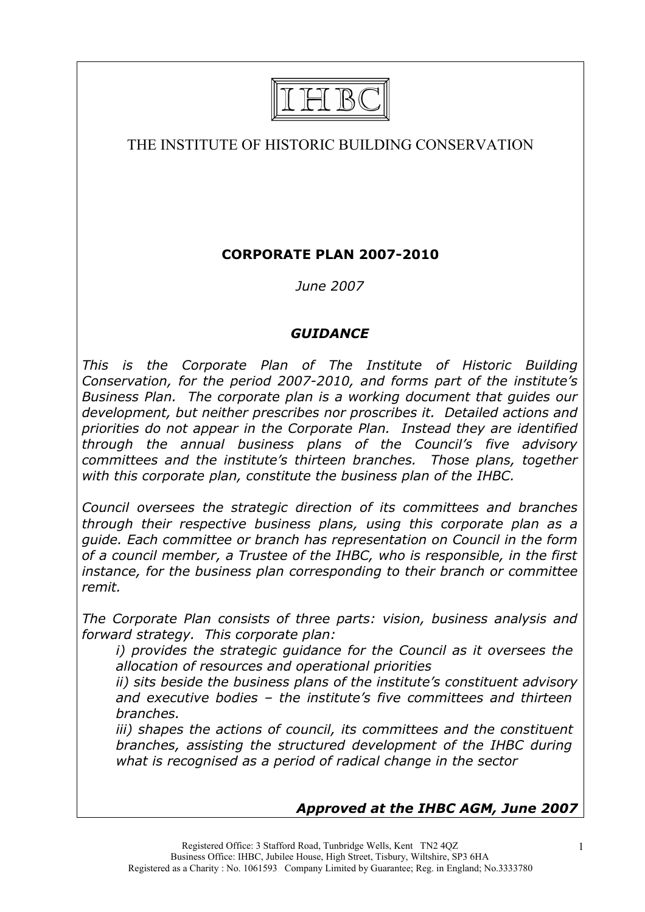

# THE INSTITUTE OF HISTORIC BUILDING CONSERVATION

# **CORPORATE PLAN 2007-2010**

*June 2007*

## *GUIDANCE*

*This is the Corporate Plan of The Institute of Historic Building Conservation, for the period 2007-2010, and forms part of the institute's Business Plan. The corporate plan is a working document that guides our development, but neither prescribes nor proscribes it. Detailed actions and priorities do not appear in the Corporate Plan. Instead they are identified through the annual business plans of the Council's five advisory committees and the institute's thirteen branches. Those plans, together with this corporate plan, constitute the business plan of the IHBC.*

*Council oversees the strategic direction of its committees and branches through their respective business plans, using this corporate plan as a guide. Each committee or branch has representation on Council in the form of a council member, a Trustee of the IHBC, who is responsible, in the first instance, for the business plan corresponding to their branch or committee remit.*

*The Corporate Plan consists of three parts: vision, business analysis and forward strategy. This corporate plan:*

*i) provides the strategic guidance for the Council as it oversees the allocation of resources and operational priorities*

*ii) sits beside the business plans of the institute's constituent advisory and executive bodies – the institute's five committees and thirteen branches.*

*iii) shapes the actions of council, its committees and the constituent branches, assisting the structured development of the IHBC during what is recognised as a period of radical change in the sector*

# *Approved at the IHBC AGM, June 2007*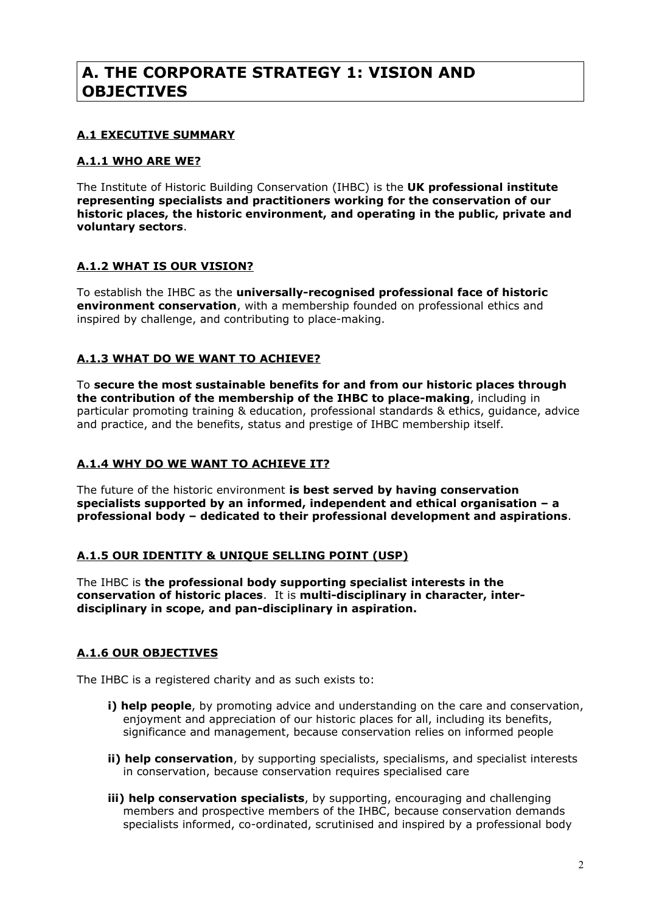# **A. THE CORPORATE STRATEGY 1: VISION AND OBJECTIVES**

## **A.1 EXECUTIVE SUMMARY**

### **A.1.1 WHO ARE WE?**

The Institute of Historic Building Conservation (IHBC) is the **UK professional institute representing specialists and practitioners working for the conservation of our historic places, the historic environment, and operating in the public, private and voluntary sectors**.

## **A.1.2 WHAT IS OUR VISION?**

To establish the IHBC as the **universally-recognised professional face of historic environment conservation**, with a membership founded on professional ethics and inspired by challenge, and contributing to place-making.

## **A.1.3 WHAT DO WE WANT TO ACHIEVE?**

To **secure the most sustainable benefits for and from our historic places through the contribution of the membership of the IHBC to place-making**, including in particular promoting training & education, professional standards & ethics, guidance, advice and practice, and the benefits, status and prestige of IHBC membership itself.

### **A.1.4 WHY DO WE WANT TO ACHIEVE IT?**

The future of the historic environment **is best served by having conservation specialists supported by an informed, independent and ethical organisation – a professional body – dedicated to their professional development and aspirations**.

### **A.1.5 OUR IDENTITY & UNIQUE SELLING POINT (USP)**

The IHBC is **the professional body supporting specialist interests in the conservation of historic places**. It is **multi-disciplinary in character, interdisciplinary in scope, and pan-disciplinary in aspiration.**

## **A.1.6 OUR OBJECTIVES**

The IHBC is a registered charity and as such exists to:

- **i) help people**, by promoting advice and understanding on the care and conservation, enjoyment and appreciation of our historic places for all, including its benefits, significance and management, because conservation relies on informed people
- **ii) help conservation**, by supporting specialists, specialisms, and specialist interests in conservation, because conservation requires specialised care
- **iii) help conservation specialists**, by supporting, encouraging and challenging members and prospective members of the IHBC, because conservation demands specialists informed, co-ordinated, scrutinised and inspired by a professional body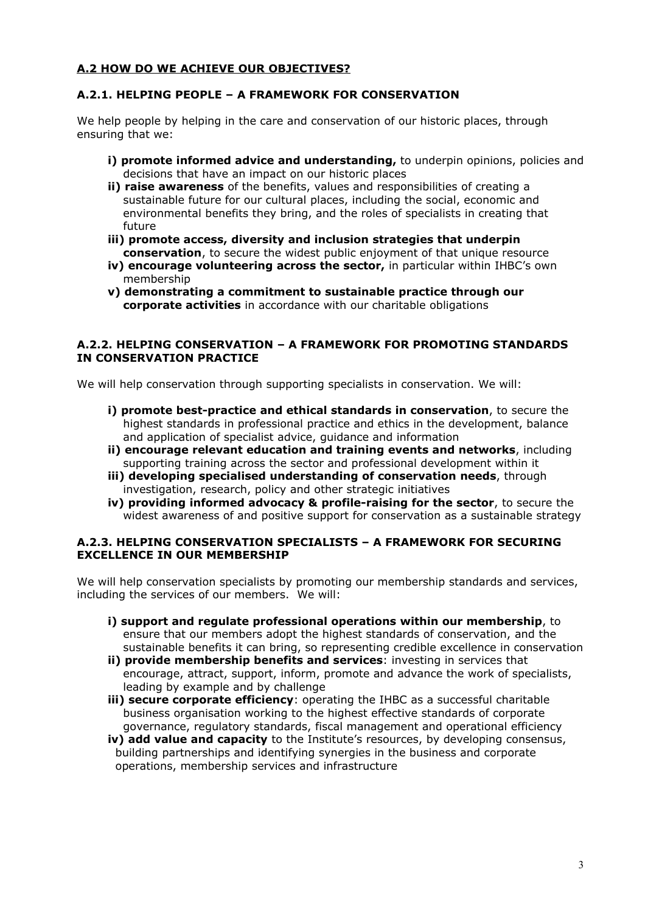### **A.2 HOW DO WE ACHIEVE OUR OBJECTIVES?**

#### **A.2.1. HELPING PEOPLE – A FRAMEWORK FOR CONSERVATION**

We help people by helping in the care and conservation of our historic places, through ensuring that we:

- **i) promote informed advice and understanding,** to underpin opinions, policies and decisions that have an impact on our historic places
- **ii) raise awareness** of the benefits, values and responsibilities of creating a sustainable future for our cultural places, including the social, economic and environmental benefits they bring, and the roles of specialists in creating that future
- **iii) promote access, diversity and inclusion strategies that underpin conservation**, to secure the widest public enjoyment of that unique resource
- **iv) encourage volunteering across the sector,** in particular within IHBC's own membership
- **v) demonstrating a commitment to sustainable practice through our corporate activities** in accordance with our charitable obligations

#### **A.2.2. HELPING CONSERVATION – A FRAMEWORK FOR PROMOTING STANDARDS IN CONSERVATION PRACTICE**

We will help conservation through supporting specialists in conservation. We will:

- **i) promote best-practice and ethical standards in conservation**, to secure the highest standards in professional practice and ethics in the development, balance and application of specialist advice, guidance and information
- **ii) encourage relevant education and training events and networks**, including supporting training across the sector and professional development within it
- **iii) developing specialised understanding of conservation needs**, through investigation, research, policy and other strategic initiatives
- **iv) providing informed advocacy & profile-raising for the sector**, to secure the widest awareness of and positive support for conservation as a sustainable strategy

#### **A.2.3. HELPING CONSERVATION SPECIALISTS – A FRAMEWORK FOR SECURING EXCELLENCE IN OUR MEMBERSHIP**

We will help conservation specialists by promoting our membership standards and services, including the services of our members. We will:

- **i) support and regulate professional operations within our membership**, to ensure that our members adopt the highest standards of conservation, and the sustainable benefits it can bring, so representing credible excellence in conservation
- **ii) provide membership benefits and services**: investing in services that encourage, attract, support, inform, promote and advance the work of specialists, leading by example and by challenge
- **iii) secure corporate efficiency**: operating the IHBC as a successful charitable business organisation working to the highest effective standards of corporate governance, regulatory standards, fiscal management and operational efficiency
- **iv) add value and capacity** to the Institute's resources, by developing consensus, building partnerships and identifying synergies in the business and corporate operations, membership services and infrastructure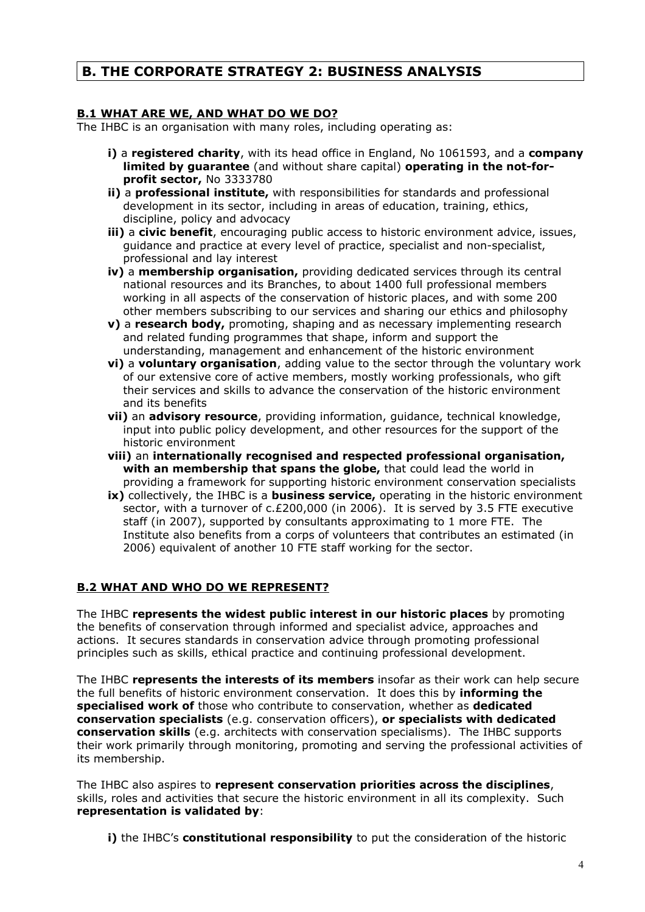## **B. THE CORPORATE STRATEGY 2: BUSINESS ANALYSIS**

### **B.1 WHAT ARE WE, AND WHAT DO WE DO?**

The IHBC is an organisation with many roles, including operating as:

- **i)** a **registered charity**, with its head office in England, No 1061593, and a **company limited by guarantee** (and without share capital) **operating in the not-forprofit sector,** No 3333780
- **ii)** a **professional institute,** with responsibilities for standards and professional development in its sector, including in areas of education, training, ethics, discipline, policy and advocacy
- **iii)** a **civic benefit**, encouraging public access to historic environment advice, issues, guidance and practice at every level of practice, specialist and non-specialist, professional and lay interest
- **iv)** a **membership organisation,** providing dedicated services through its central national resources and its Branches, to about 1400 full professional members working in all aspects of the conservation of historic places, and with some 200 other members subscribing to our services and sharing our ethics and philosophy
- **v)** a **research body,** promoting, shaping and as necessary implementing research and related funding programmes that shape, inform and support the understanding, management and enhancement of the historic environment
- **vi)** a **voluntary organisation**, adding value to the sector through the voluntary work of our extensive core of active members, mostly working professionals, who gift their services and skills to advance the conservation of the historic environment and its benefits
- **vii)** an **advisory resource**, providing information, guidance, technical knowledge, input into public policy development, and other resources for the support of the historic environment
- **viii)** an **internationally recognised and respected professional organisation, with an membership that spans the globe,** that could lead the world in providing a framework for supporting historic environment conservation specialists
- **ix)** collectively, the IHBC is a **business service,** operating in the historic environment sector, with a turnover of c.£200,000 (in 2006). It is served by 3.5 FTE executive staff (in 2007), supported by consultants approximating to 1 more FTE. The Institute also benefits from a corps of volunteers that contributes an estimated (in 2006) equivalent of another 10 FTE staff working for the sector.

## **B.2 WHAT AND WHO DO WE REPRESENT?**

The IHBC **represents the widest public interest in our historic places** by promoting the benefits of conservation through informed and specialist advice, approaches and actions. It secures standards in conservation advice through promoting professional principles such as skills, ethical practice and continuing professional development.

The IHBC **represents the interests of its members** insofar as their work can help secure the full benefits of historic environment conservation. It does this by **informing the specialised work of** those who contribute to conservation, whether as **dedicated conservation specialists** (e.g. conservation officers), **or specialists with dedicated conservation skills** (e.g. architects with conservation specialisms). The IHBC supports their work primarily through monitoring, promoting and serving the professional activities of its membership.

The IHBC also aspires to **represent conservation priorities across the disciplines**, skills, roles and activities that secure the historic environment in all its complexity. Such **representation is validated by**:

**i)** the IHBC's **constitutional responsibility** to put the consideration of the historic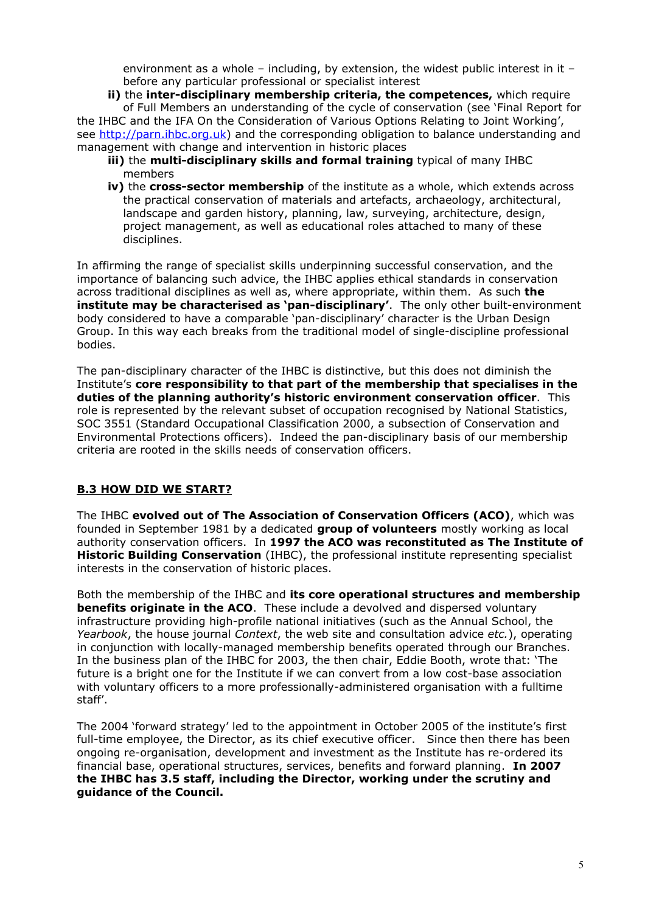environment as a whole – including, by extension, the widest public interest in it – before any particular professional or specialist interest

**ii)** the **inter-disciplinary membership criteria, the competences,** which require of Full Members an understanding of the cycle of conservation (see 'Final Report for

the IHBC and the IFA On the Consideration of Various Options Relating to Joint Working', see [http://parn.ihbc.org.uk\)](http://www.ihbc.org.uk/) and the corresponding obligation to balance understanding and management with change and intervention in historic places

- **iii)** the **multi-disciplinary skills and formal training** typical of many IHBC members
- **iv)** the **cross-sector membership** of the institute as a whole, which extends across the practical conservation of materials and artefacts, archaeology, architectural, landscape and garden history, planning, law, surveying, architecture, design, project management, as well as educational roles attached to many of these disciplines.

In affirming the range of specialist skills underpinning successful conservation, and the importance of balancing such advice, the IHBC applies ethical standards in conservation across traditional disciplines as well as, where appropriate, within them. As such **the institute may be characterised as 'pan-disciplinary'**. The only other built-environment body considered to have a comparable 'pan-disciplinary' character is the Urban Design Group. In this way each breaks from the traditional model of single-discipline professional bodies.

The pan-disciplinary character of the IHBC is distinctive, but this does not diminish the Institute's **core responsibility to that part of the membership that specialises in the duties of the planning authority's historic environment conservation officer**. This role is represented by the relevant subset of occupation recognised by National Statistics, SOC 3551 (Standard Occupational Classification 2000, a subsection of Conservation and Environmental Protections officers). Indeed the pan-disciplinary basis of our membership criteria are rooted in the skills needs of conservation officers.

## **B.3 HOW DID WE START?**

The IHBC **evolved out of The Association of Conservation Officers (ACO)**, which was founded in September 1981 by a dedicated **group of volunteers** mostly working as local authority conservation officers. In **1997 the ACO was reconstituted as The Institute of Historic Building Conservation** (IHBC), the professional institute representing specialist interests in the conservation of historic places.

Both the membership of the IHBC and **its core operational structures and membership benefits originate in the ACO**. These include a devolved and dispersed voluntary infrastructure providing high-profile national initiatives (such as the Annual School, the *Yearbook*, the house journal *Context*, the web site and consultation advice *etc.*), operating in conjunction with locally-managed membership benefits operated through our Branches. In the business plan of the IHBC for 2003, the then chair, Eddie Booth, wrote that: 'The future is a bright one for the Institute if we can convert from a low cost-base association with voluntary officers to a more professionally-administered organisation with a fulltime staff'.

The 2004 'forward strategy' led to the appointment in October 2005 of the institute's first full-time employee, the Director, as its chief executive officer. Since then there has been ongoing re-organisation, development and investment as the Institute has re-ordered its financial base, operational structures, services, benefits and forward planning. **In 2007 the IHBC has 3.5 staff, including the Director, working under the scrutiny and guidance of the Council.**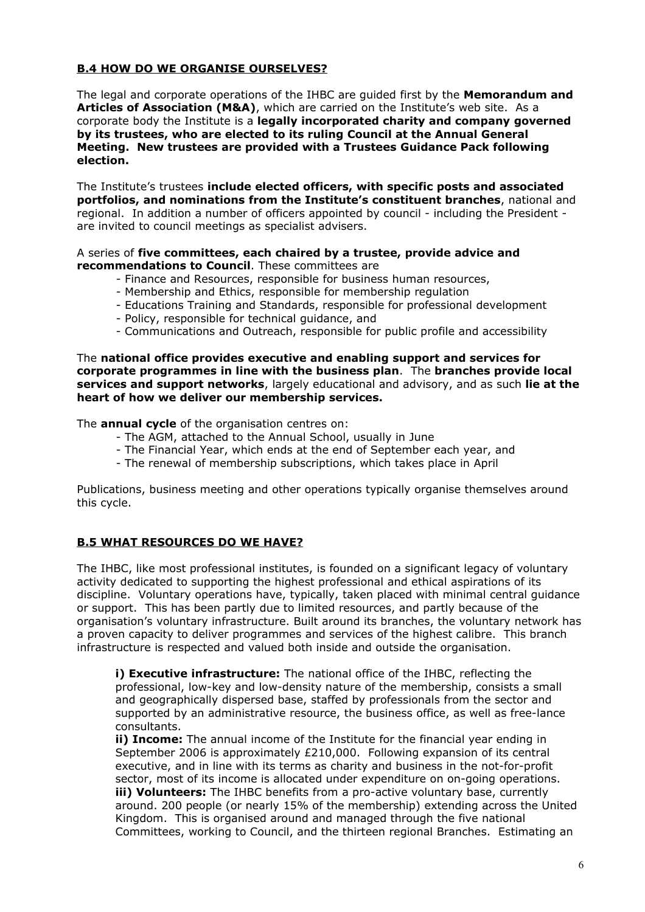### **B.4 HOW DO WE ORGANISE OURSELVES?**

The legal and corporate operations of the IHBC are guided first by the **Memorandum and Articles of Association (M&A)**, which are carried on the Institute's web site. As a corporate body the Institute is a **legally incorporated charity and company governed by its trustees, who are elected to its ruling Council at the Annual General Meeting. New trustees are provided with a Trustees Guidance Pack following election.**

The Institute's trustees **include elected officers, with specific posts and associated portfolios, and nominations from the Institute's constituent branches**, national and regional. In addition a number of officers appointed by council - including the President are invited to council meetings as specialist advisers.

#### A series of **five committees, each chaired by a trustee, provide advice and recommendations to Council**. These committees are

- Finance and Resources, responsible for business human resources,
- Membership and Ethics, responsible for membership regulation
- Educations Training and Standards, responsible for professional development
- Policy, responsible for technical guidance, and
- Communications and Outreach, responsible for public profile and accessibility

The **national office provides executive and enabling support and services for corporate programmes in line with the business plan**. The **branches provide local services and support networks**, largely educational and advisory, and as such **lie at the heart of how we deliver our membership services.**

The **annual cycle** of the organisation centres on:

- The AGM, attached to the Annual School, usually in June
- The Financial Year, which ends at the end of September each year, and
- The renewal of membership subscriptions, which takes place in April

Publications, business meeting and other operations typically organise themselves around this cycle.

### **B.5 WHAT RESOURCES DO WE HAVE?**

The IHBC, like most professional institutes, is founded on a significant legacy of voluntary activity dedicated to supporting the highest professional and ethical aspirations of its discipline. Voluntary operations have, typically, taken placed with minimal central guidance or support. This has been partly due to limited resources, and partly because of the organisation's voluntary infrastructure. Built around its branches, the voluntary network has a proven capacity to deliver programmes and services of the highest calibre. This branch infrastructure is respected and valued both inside and outside the organisation.

**i) Executive infrastructure:** The national office of the IHBC, reflecting the professional, low-key and low-density nature of the membership, consists a small and geographically dispersed base, staffed by professionals from the sector and supported by an administrative resource, the business office, as well as free-lance consultants.

**ii) Income:** The annual income of the Institute for the financial year ending in September 2006 is approximately £210,000. Following expansion of its central executive, and in line with its terms as charity and business in the not-for-profit sector, most of its income is allocated under expenditure on on-going operations. **iii) Volunteers:** The IHBC benefits from a pro-active voluntary base, currently around. 200 people (or nearly 15% of the membership) extending across the United Kingdom. This is organised around and managed through the five national Committees, working to Council, and the thirteen regional Branches. Estimating an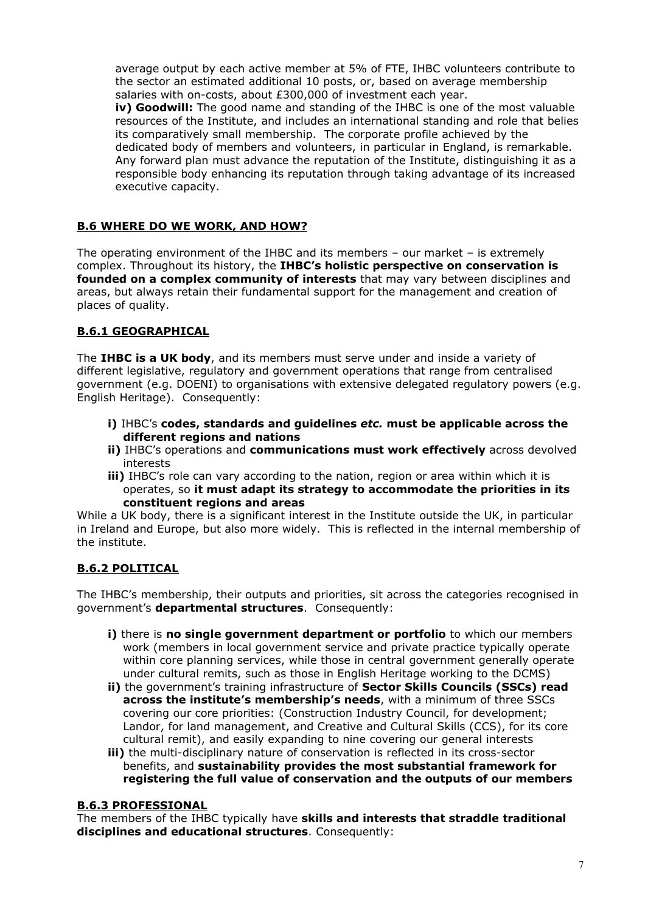average output by each active member at 5% of FTE, IHBC volunteers contribute to the sector an estimated additional 10 posts, or, based on average membership salaries with on-costs, about £300,000 of investment each year.

**iv) Goodwill:** The good name and standing of the IHBC is one of the most valuable resources of the Institute, and includes an international standing and role that belies its comparatively small membership. The corporate profile achieved by the dedicated body of members and volunteers, in particular in England, is remarkable. Any forward plan must advance the reputation of the Institute, distinguishing it as a responsible body enhancing its reputation through taking advantage of its increased executive capacity.

## **B.6 WHERE DO WE WORK, AND HOW?**

The operating environment of the IHBC and its members – our market – is extremely complex. Throughout its history, the **IHBC's holistic perspective on conservation is founded on a complex community of interests** that may vary between disciplines and areas, but always retain their fundamental support for the management and creation of places of quality.

## **B.6.1 GEOGRAPHICAL**

The **IHBC is a UK body**, and its members must serve under and inside a variety of different legislative, regulatory and government operations that range from centralised government (e.g. DOENI) to organisations with extensive delegated regulatory powers (e.g. English Heritage). Consequently:

- **i)** IHBC's **codes, standards and guidelines** *etc.* **must be applicable across the different regions and nations**
- **ii)** IHBC's operations and **communications must work effectively** across devolved interests
- **iii)** IHBC's role can vary according to the nation, region or area within which it is operates, so **it must adapt its strategy to accommodate the priorities in its constituent regions and areas**

While a UK body, there is a significant interest in the Institute outside the UK, in particular in Ireland and Europe, but also more widely. This is reflected in the internal membership of the institute.

## **B.6.2 POLITICAL**

The IHBC's membership, their outputs and priorities, sit across the categories recognised in government's **departmental structures**. Consequently:

- **i)** there is **no single government department or portfolio** to which our members work (members in local government service and private practice typically operate within core planning services, while those in central government generally operate under cultural remits, such as those in English Heritage working to the DCMS)
- **ii)** the government's training infrastructure of **Sector Skills Councils (SSCs) read across the institute's membership's needs**, with a minimum of three SSCs covering our core priorities: (Construction Industry Council, for development; Landor, for land management, and Creative and Cultural Skills (CCS), for its core cultural remit), and easily expanding to nine covering our general interests
- **iii)** the multi-disciplinary nature of conservation is reflected in its cross-sector benefits, and **sustainability provides the most substantial framework for registering the full value of conservation and the outputs of our members**

### **B.6.3 PROFESSIONAL**

The members of the IHBC typically have **skills and interests that straddle traditional disciplines and educational structures**. Consequently: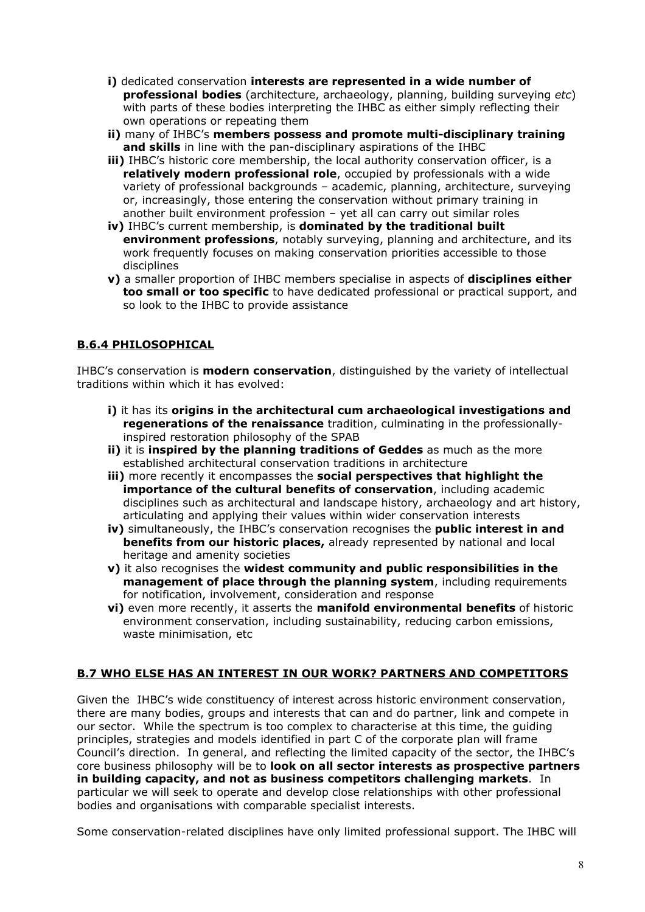- **i)** dedicated conservation **interests are represented in a wide number of professional bodies** (architecture, archaeology, planning, building surveying *etc*) with parts of these bodies interpreting the IHBC as either simply reflecting their own operations or repeating them
- **ii)** many of IHBC's **members possess and promote multi-disciplinary training and skills** in line with the pan-disciplinary aspirations of the IHBC
- **iii)** IHBC's historic core membership, the local authority conservation officer, is a **relatively modern professional role**, occupied by professionals with a wide variety of professional backgrounds – academic, planning, architecture, surveying or, increasingly, those entering the conservation without primary training in another built environment profession – yet all can carry out similar roles
- **iv)** IHBC's current membership, is **dominated by the traditional built environment professions**, notably surveying, planning and architecture, and its work frequently focuses on making conservation priorities accessible to those disciplines
- **v)** a smaller proportion of IHBC members specialise in aspects of **disciplines either too small or too specific** to have dedicated professional or practical support, and so look to the IHBC to provide assistance

## **B.6.4 PHILOSOPHICAL**

IHBC's conservation is **modern conservation**, distinguished by the variety of intellectual traditions within which it has evolved:

- **i)** it has its **origins in the architectural cum archaeological investigations and regenerations of the renaissance** tradition, culminating in the professionallyinspired restoration philosophy of the SPAB
- **ii)** it is **inspired by the planning traditions of Geddes** as much as the more established architectural conservation traditions in architecture
- **iii)** more recently it encompasses the **social perspectives that highlight the importance of the cultural benefits of conservation**, including academic disciplines such as architectural and landscape history, archaeology and art history, articulating and applying their values within wider conservation interests
- **iv)** simultaneously, the IHBC's conservation recognises the **public interest in and benefits from our historic places,** already represented by national and local heritage and amenity societies
- **v)** it also recognises the **widest community and public responsibilities in the management of place through the planning system**, including requirements for notification, involvement, consideration and response
- **vi)** even more recently, it asserts the **manifold environmental benefits** of historic environment conservation, including sustainability, reducing carbon emissions, waste minimisation, etc

### **B.7 WHO ELSE HAS AN INTEREST IN OUR WORK? PARTNERS AND COMPETITORS**

Given the IHBC's wide constituency of interest across historic environment conservation, there are many bodies, groups and interests that can and do partner, link and compete in our sector. While the spectrum is too complex to characterise at this time, the guiding principles, strategies and models identified in part C of the corporate plan will frame Council's direction. In general, and reflecting the limited capacity of the sector, the IHBC's core business philosophy will be to **look on all sector interests as prospective partners in building capacity, and not as business competitors challenging markets**. In particular we will seek to operate and develop close relationships with other professional bodies and organisations with comparable specialist interests.

Some conservation-related disciplines have only limited professional support. The IHBC will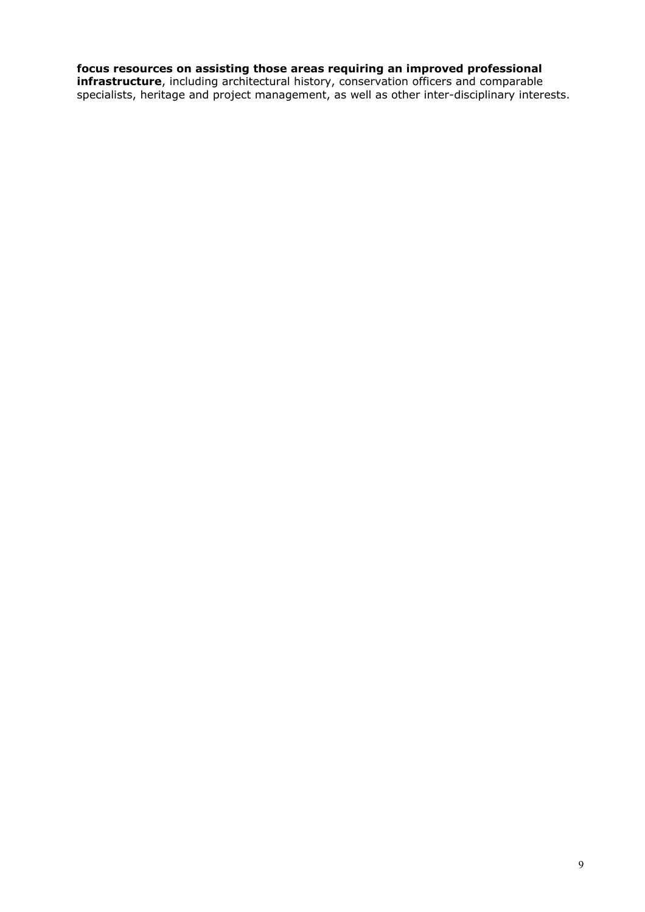## **focus resources on assisting those areas requiring an improved professional**

**infrastructure**, including architectural history, conservation officers and comparable specialists, heritage and project management, as well as other inter-disciplinary interests.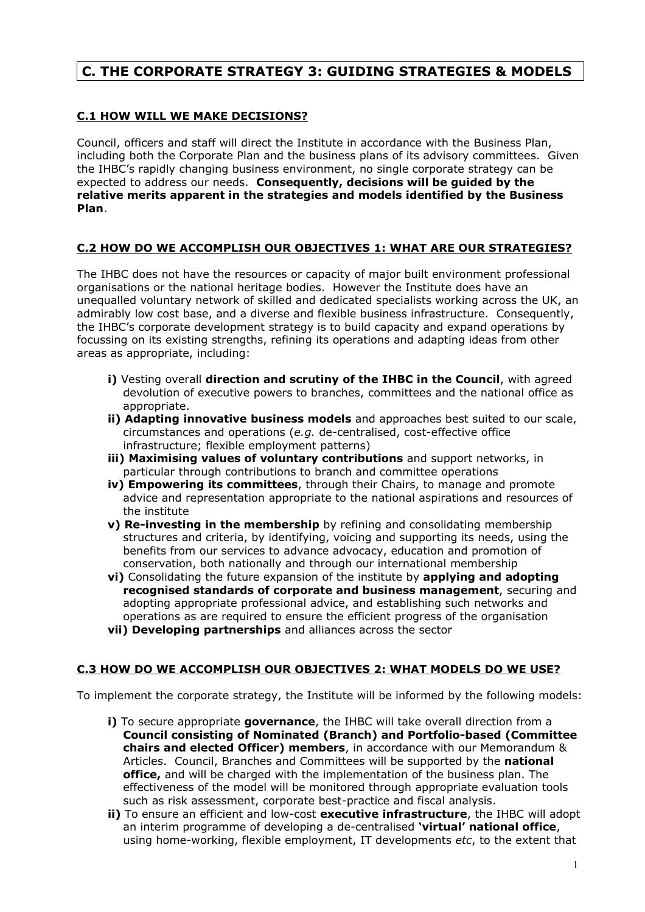## **C. THE CORPORATE STRATEGY 3: GUIDING STRATEGIES & MODELS**

### **C.1 HOW WILL WE MAKE DECISIONS?**

Council, officers and staff will direct the Institute in accordance with the Business Plan, including both the Corporate Plan and the business plans of its advisory committees. Given the IHBC's rapidly changing business environment, no single corporate strategy can be expected to address our needs. **Consequently, decisions will be guided by the relative merits apparent in the strategies and models identified by the Business Plan**.

## **C.2 HOW DO WE ACCOMPLISH OUR OBJECTIVES 1: WHAT ARE OUR STRATEGIES?**

The IHBC does not have the resources or capacity of major built environment professional organisations or the national heritage bodies. However the Institute does have an unequalled voluntary network of skilled and dedicated specialists working across the UK, an admirably low cost base, and a diverse and flexible business infrastructure. Consequently, the IHBC's corporate development strategy is to build capacity and expand operations by focussing on its existing strengths, refining its operations and adapting ideas from other areas as appropriate, including:

- **i)** Vesting overall **direction and scrutiny of the IHBC in the Council**, with agreed devolution of executive powers to branches, committees and the national office as appropriate.
- **ii) Adapting innovative business models** and approaches best suited to our scale, circumstances and operations (*e.g.* de-centralised, cost-effective office infrastructure; flexible employment patterns)
- **iii) Maximising values of voluntary contributions** and support networks, in particular through contributions to branch and committee operations
- **iv) Empowering its committees**, through their Chairs, to manage and promote advice and representation appropriate to the national aspirations and resources of the institute
- **v) Re-investing in the membership** by refining and consolidating membership structures and criteria, by identifying, voicing and supporting its needs, using the benefits from our services to advance advocacy, education and promotion of conservation, both nationally and through our international membership
- **vi)** Consolidating the future expansion of the institute by **applying and adopting recognised standards of corporate and business management**, securing and adopting appropriate professional advice, and establishing such networks and operations as are required to ensure the efficient progress of the organisation **vii) Developing partnerships** and alliances across the sector

### **C.3 HOW DO WE ACCOMPLISH OUR OBJECTIVES 2: WHAT MODELS DO WE USE?**

To implement the corporate strategy, the Institute will be informed by the following models:

- **i)** To secure appropriate **governance**, the IHBC will take overall direction from a **Council consisting of Nominated (Branch) and Portfolio-based (Committee chairs and elected Officer) members**, in accordance with our Memorandum & Articles. Council, Branches and Committees will be supported by the **national office,** and will be charged with the implementation of the business plan. The effectiveness of the model will be monitored through appropriate evaluation tools such as risk assessment, corporate best-practice and fiscal analysis.
- **ii)** To ensure an efficient and low-cost **executive infrastructure**, the IHBC will adopt an interim programme of developing a de-centralised **'virtual' national office**, using home-working, flexible employment, IT developments *etc*, to the extent that